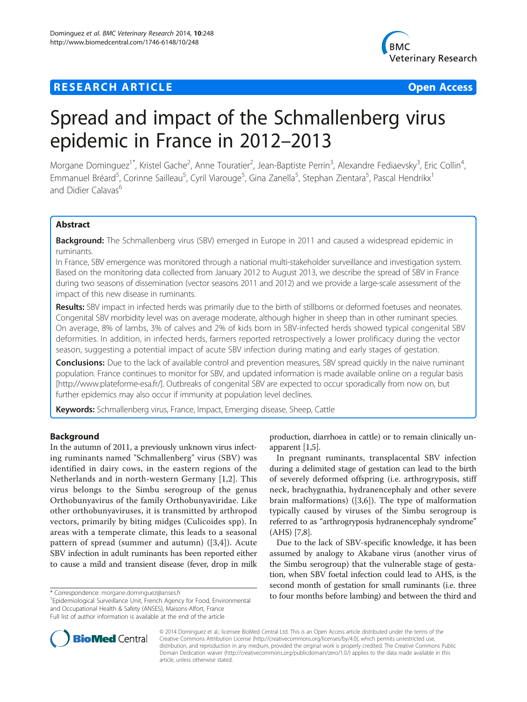# **RESEARCH ARTICLE Example 2014 12:30 The Contract of Contract Contract Contract Contract Contract Contract Contract Contract Contract Contract Contract Contract Contract Contract Contract Contract Contract Contract Contr**



# Spread and impact of the Schmallenberg virus epidemic in France in 2012–2013

Morgane Dominguez<sup>1\*</sup>, Kristel Gache<sup>2</sup>, Anne Touratier<sup>2</sup>, Jean-Baptiste Perrin<sup>3</sup>, Alexandre Fediaevsky<sup>3</sup>, Eric Collin<sup>4</sup> , Emmanuel Bréard<sup>5</sup>, Corinne Sailleau<sup>5</sup>, Cyril Viarouge<sup>5</sup>, Gina Zanella<sup>5</sup>, Stephan Zientara<sup>5</sup>, Pascal Hendrikx<sup>1</sup> and Didier Calavas<sup>6</sup>

# Abstract

**Background:** The Schmallenberg virus (SBV) emerged in Europe in 2011 and caused a widespread epidemic in ruminants.

In France, SBV emergence was monitored through a national multi-stakeholder surveillance and investigation system. Based on the monitoring data collected from January 2012 to August 2013, we describe the spread of SBV in France during two seasons of dissemination (vector seasons 2011 and 2012) and we provide a large-scale assessment of the impact of this new disease in ruminants.

Results: SBV impact in infected herds was primarily due to the birth of stillborns or deformed foetuses and neonates. Congenital SBV morbidity level was on average moderate, although higher in sheep than in other ruminant species. On average, 8% of lambs, 3% of calves and 2% of kids born in SBV-infected herds showed typical congenital SBV deformities. In addition, in infected herds, farmers reported retrospectively a lower prolificacy during the vector season, suggesting a potential impact of acute SBV infection during mating and early stages of gestation.

Conclusions: Due to the lack of available control and prevention measures, SBV spread quickly in the naive ruminant population. France continues to monitor for SBV, and updated information is made available online on a regular basis [<http://www.plateforme-esa.fr/>]. Outbreaks of congenital SBV are expected to occur sporadically from now on, but further epidemics may also occur if immunity at population level declines.

Keywords: Schmallenberg virus, France, Impact, Emerging disease, Sheep, Cattle

# Background

In the autumn of 2011, a previously unknown virus infecting ruminants named "Schmallenberg" virus (SBV) was identified in dairy cows, in the eastern regions of the Netherlands and in north-western Germany [[1,2\]](#page-9-0). This virus belongs to the Simbu serogroup of the genus Orthobunyavirus of the family Orthobunyaviridae. Like other orthobunyaviruses, it is transmitted by arthropod vectors, primarily by biting midges (Culicoides spp). In areas with a temperate climate, this leads to a seasonal pattern of spread (summer and autumn) ([[3,4](#page-9-0)]). Acute SBV infection in adult ruminants has been reported either to cause a mild and transient disease (fever, drop in milk

<sup>1</sup> Epidemiological Surveillance Unit, French Agency for Food, Environmental and Occupational Health & Safety (ANSES), Maisons-Alfort, France Full list of author information is available at the end of the article

production, diarrhoea in cattle) or to remain clinically unapparent [[1,5](#page-9-0)].

In pregnant ruminants, transplacental SBV infection during a delimited stage of gestation can lead to the birth of severely deformed offspring (i.e. arthrogryposis, stiff neck, brachygnathia, hydranencephaly and other severe brain malformations) ([[3,6](#page-9-0)]). The type of malformation typically caused by viruses of the Simbu serogroup is referred to as "arthrogryposis hydranencephaly syndrome" (AHS) [[7,8](#page-9-0)].

Due to the lack of SBV-specific knowledge, it has been assumed by analogy to Akabane virus (another virus of the Simbu serogroup) that the vulnerable stage of gestation, when SBV foetal infection could lead to AHS, is the second month of gestation for small ruminants (i.e. three \* Correspondence: [morgane.dominguez@anses.fr](mailto:morgane.dominguez@anses.fr) **to four months before lambing) and between the third and** 



© 2014 Dominguez et al.; licensee BioMed Central Ltd. This is an Open Access article distributed under the terms of the Creative Commons Attribution License (<http://creativecommons.org/licenses/by/4.0>), which permits unrestricted use, distribution, and reproduction in any medium, provided the original work is properly credited. The Creative Commons Public Domain Dedication waiver [\(http://creativecommons.org/publicdomain/zero/1.0/\)](http://creativecommons.org/publicdomain/zero/1.0/) applies to the data made available in this article, unless otherwise stated.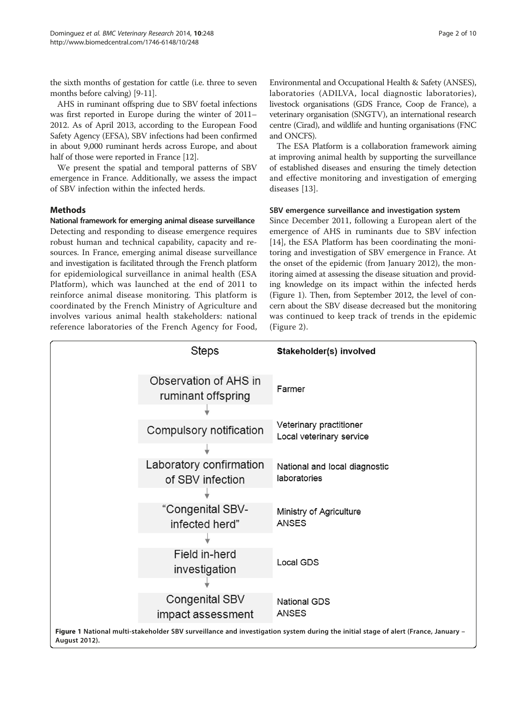<span id="page-1-0"></span>the sixth months of gestation for cattle (i.e. three to seven months before calving) [\[9-11\]](#page-9-0).

AHS in ruminant offspring due to SBV foetal infections was first reported in Europe during the winter of 2011– 2012. As of April 2013, according to the European Food Safety Agency (EFSA), SBV infections had been confirmed in about 9,000 ruminant herds across Europe, and about half of those were reported in France [[12](#page-9-0)].

We present the spatial and temporal patterns of SBV emergence in France. Additionally, we assess the impact of SBV infection within the infected herds.

# Methods

National framework for emerging animal disease surveillance Detecting and responding to disease emergence requires robust human and technical capability, capacity and resources. In France, emerging animal disease surveillance and investigation is facilitated through the French platform for epidemiological surveillance in animal health (ESA Platform), which was launched at the end of 2011 to reinforce animal disease monitoring. This platform is coordinated by the French Ministry of Agriculture and involves various animal health stakeholders: national reference laboratories of the French Agency for Food, Environmental and Occupational Health & Safety (ANSES), laboratories (ADILVA, local diagnostic laboratories), livestock organisations (GDS France, Coop de France), a veterinary organisation (SNGTV), an international research centre (Cirad), and wildlife and hunting organisations (FNC and ONCFS).

The ESA Platform is a collaboration framework aiming at improving animal health by supporting the surveillance of established diseases and ensuring the timely detection and effective monitoring and investigation of emerging diseases [[13](#page-9-0)].

#### SBV emergence surveillance and investigation system

Since December 2011, following a European alert of the emergence of AHS in ruminants due to SBV infection [[14\]](#page-9-0), the ESA Platform has been coordinating the monitoring and investigation of SBV emergence in France. At the onset of the epidemic (from January 2012), the monitoring aimed at assessing the disease situation and providing knowledge on its impact within the infected herds (Figure 1). Then, from September 2012, the level of concern about the SBV disease decreased but the monitoring was continued to keep track of trends in the epidemic (Figure [2\)](#page-2-0).

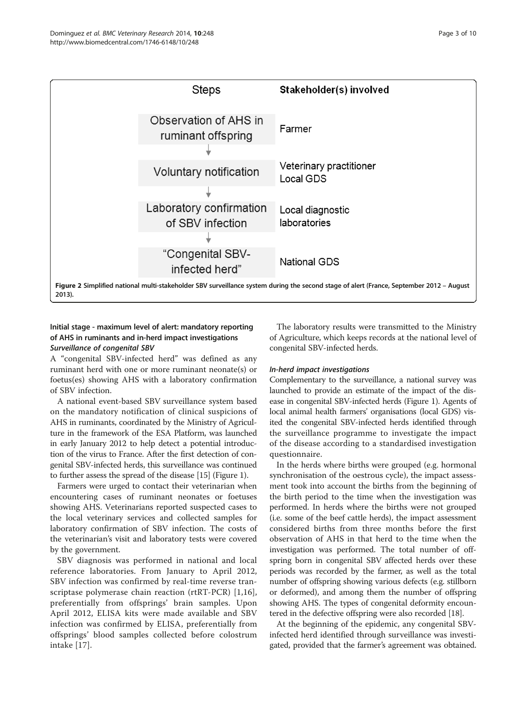<span id="page-2-0"></span>

# Initial stage - maximum level of alert: mandatory reporting of AHS in ruminants and in-herd impact investigations Surveillance of congenital SBV

A "congenital SBV-infected herd" was defined as any ruminant herd with one or more ruminant neonate(s) or foetus(es) showing AHS with a laboratory confirmation of SBV infection.

A national event-based SBV surveillance system based on the mandatory notification of clinical suspicions of AHS in ruminants, coordinated by the Ministry of Agriculture in the framework of the ESA Platform, was launched in early January 2012 to help detect a potential introduction of the virus to France. After the first detection of congenital SBV-infected herds, this surveillance was continued to further assess the spread of the disease [\[15\]](#page-9-0) (Figure [1\)](#page-1-0).

Farmers were urged to contact their veterinarian when encountering cases of ruminant neonates or foetuses showing AHS. Veterinarians reported suspected cases to the local veterinary services and collected samples for laboratory confirmation of SBV infection. The costs of the veterinarian's visit and laboratory tests were covered by the government.

SBV diagnosis was performed in national and local reference laboratories. From January to April 2012, SBV infection was confirmed by real-time reverse transcriptase polymerase chain reaction (rtRT-PCR) [[1,16](#page-9-0)], preferentially from offsprings' brain samples. Upon April 2012, ELISA kits were made available and SBV infection was confirmed by ELISA, preferentially from offsprings' blood samples collected before colostrum intake [\[17\]](#page-9-0).

The laboratory results were transmitted to the Ministry of Agriculture, which keeps records at the national level of congenital SBV-infected herds.

# In-herd impact investigations

Complementary to the surveillance, a national survey was launched to provide an estimate of the impact of the disease in congenital SBV-infected herds (Figure [1](#page-1-0)). Agents of local animal health farmers' organisations (local GDS) visited the congenital SBV-infected herds identified through the surveillance programme to investigate the impact of the disease according to a standardised investigation questionnaire.

In the herds where births were grouped (e.g. hormonal synchronisation of the oestrous cycle), the impact assessment took into account the births from the beginning of the birth period to the time when the investigation was performed. In herds where the births were not grouped (i.e. some of the beef cattle herds), the impact assessment considered births from three months before the first observation of AHS in that herd to the time when the investigation was performed. The total number of offspring born in congenital SBV affected herds over these periods was recorded by the farmer, as well as the total number of offspring showing various defects (e.g. stillborn or deformed), and among them the number of offspring showing AHS. The types of congenital deformity encountered in the defective offspring were also recorded [[18](#page-9-0)].

At the beginning of the epidemic, any congenital SBVinfected herd identified through surveillance was investigated, provided that the farmer's agreement was obtained.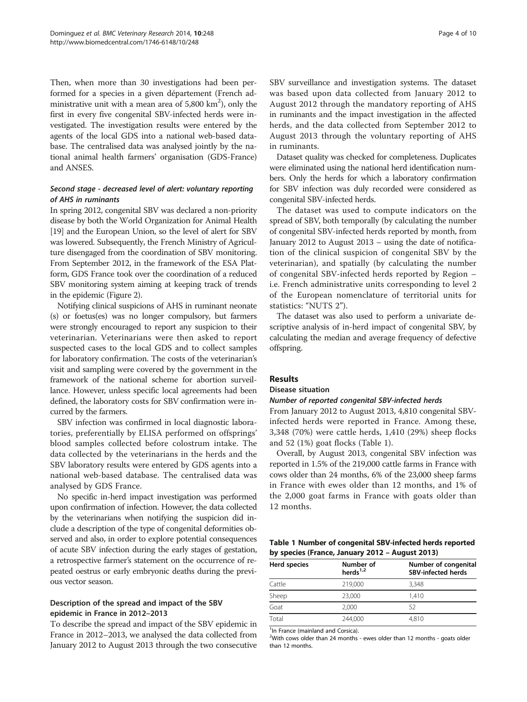Then, when more than 30 investigations had been performed for a species in a given département (French administrative unit with a mean area of 5,800  $\text{km}^2$ ), only the first in every five congenital SBV-infected herds were investigated. The investigation results were entered by the agents of the local GDS into a national web-based database. The centralised data was analysed jointly by the national animal health farmers' organisation (GDS-France) and ANSES.

# Second stage - decreased level of alert: voluntary reporting of AHS in ruminants

In spring 2012, congenital SBV was declared a non-priority disease by both the World Organization for Animal Health [[19](#page-9-0)] and the European Union, so the level of alert for SBV was lowered. Subsequently, the French Ministry of Agriculture disengaged from the coordination of SBV monitoring. From September 2012, in the framework of the ESA Platform, GDS France took over the coordination of a reduced SBV monitoring system aiming at keeping track of trends in the epidemic (Figure [2\)](#page-2-0).

Notifying clinical suspicions of AHS in ruminant neonate (s) or foetus(es) was no longer compulsory, but farmers were strongly encouraged to report any suspicion to their veterinarian. Veterinarians were then asked to report suspected cases to the local GDS and to collect samples for laboratory confirmation. The costs of the veterinarian's visit and sampling were covered by the government in the framework of the national scheme for abortion surveillance. However, unless specific local agreements had been defined, the laboratory costs for SBV confirmation were incurred by the farmers.

SBV infection was confirmed in local diagnostic laboratories, preferentially by ELISA performed on offsprings' blood samples collected before colostrum intake. The data collected by the veterinarians in the herds and the SBV laboratory results were entered by GDS agents into a national web-based database. The centralised data was analysed by GDS France.

No specific in-herd impact investigation was performed upon confirmation of infection. However, the data collected by the veterinarians when notifying the suspicion did include a description of the type of congenital deformities observed and also, in order to explore potential consequences of acute SBV infection during the early stages of gestation, a retrospective farmer's statement on the occurrence of repeated oestrus or early embryonic deaths during the previous vector season.

# Description of the spread and impact of the SBV epidemic in France in 2012–2013

To describe the spread and impact of the SBV epidemic in France in 2012–2013, we analysed the data collected from January 2012 to August 2013 through the two consecutive SBV surveillance and investigation systems. The dataset was based upon data collected from January 2012 to August 2012 through the mandatory reporting of AHS in ruminants and the impact investigation in the affected herds, and the data collected from September 2012 to August 2013 through the voluntary reporting of AHS in ruminants.

Dataset quality was checked for completeness. Duplicates were eliminated using the national herd identification numbers. Only the herds for which a laboratory confirmation for SBV infection was duly recorded were considered as congenital SBV-infected herds.

The dataset was used to compute indicators on the spread of SBV, both temporally (by calculating the number of congenital SBV-infected herds reported by month, from January 2012 to August 2013 – using the date of notification of the clinical suspicion of congenital SBV by the veterinarian), and spatially (by calculating the number of congenital SBV-infected herds reported by Region – i.e. French administrative units corresponding to level 2 of the European nomenclature of territorial units for statistics: "NUTS 2").

The dataset was also used to perform a univariate descriptive analysis of in-herd impact of congenital SBV, by calculating the median and average frequency of defective offspring.

# Results

#### Disease situation

# Number of reported congenital SBV-infected herds

From January 2012 to August 2013, 4,810 congenital SBVinfected herds were reported in France. Among these, 3,348 (70%) were cattle herds, 1,410 (29%) sheep flocks and 52 (1%) goat flocks (Table 1).

Overall, by August 2013, congenital SBV infection was reported in 1.5% of the 219,000 cattle farms in France with cows older than 24 months, 6% of the 23,000 sheep farms in France with ewes older than 12 months, and 1% of the 2,000 goat farms in France with goats older than 12 months.

|                                                 | Table 1 Number of congenital SBV-infected herds reported |
|-------------------------------------------------|----------------------------------------------------------|
| by species (France, January 2012 - August 2013) |                                                          |

| Herd species | Number of<br>herds $1,2$ | Number of congenital<br><b>SBV-infected herds</b> |
|--------------|--------------------------|---------------------------------------------------|
| Cattle       | 219,000                  | 3.348                                             |
| Sheep        | 23,000                   | 1.410                                             |
| Goat         | 2.000                    | 52                                                |
| Total        | 244.000                  | 4.810                                             |

<sup>1</sup>In France (mainland and Corsica).

 $2$ With cows older than 24 months - ewes older than 12 months - goats older than 12 months.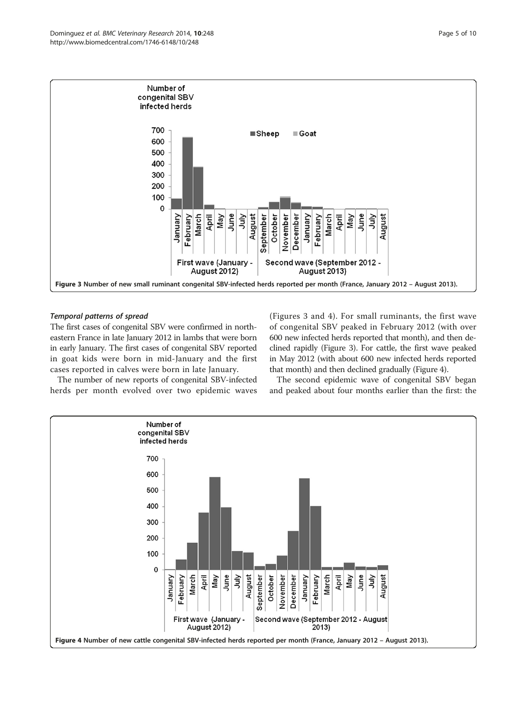<span id="page-4-0"></span>

# Temporal patterns of spread

The first cases of congenital SBV were confirmed in northeastern France in late January 2012 in lambs that were born in early January. The first cases of congenital SBV reported in goat kids were born in mid-January and the first cases reported in calves were born in late January.

The number of new reports of congenital SBV-infected herds per month evolved over two epidemic waves (Figures 3 and 4). For small ruminants, the first wave of congenital SBV peaked in February 2012 (with over 600 new infected herds reported that month), and then declined rapidly (Figure 3). For cattle, the first wave peaked in May 2012 (with about 600 new infected herds reported that month) and then declined gradually (Figure 4).

The second epidemic wave of congenital SBV began and peaked about four months earlier than the first: the

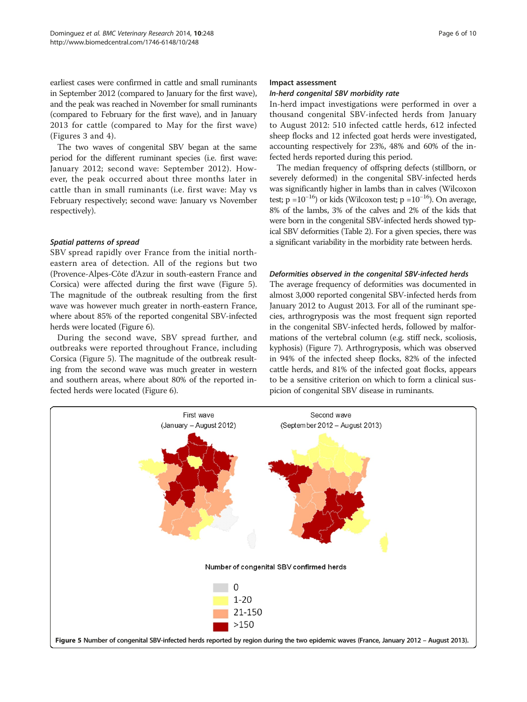earliest cases were confirmed in cattle and small ruminants in September 2012 (compared to January for the first wave), and the peak was reached in November for small ruminants (compared to February for the first wave), and in January 2013 for cattle (compared to May for the first wave) (Figures [3](#page-4-0) and [4\)](#page-4-0).

The two waves of congenital SBV began at the same period for the different ruminant species (i.e. first wave: January 2012; second wave: September 2012). However, the peak occurred about three months later in cattle than in small ruminants (i.e. first wave: May vs February respectively; second wave: January vs November respectively).

# Spatial patterns of spread

SBV spread rapidly over France from the initial northeastern area of detection. All of the regions but two (Provence-Alpes-Côte d'Azur in south-eastern France and Corsica) were affected during the first wave (Figure 5). The magnitude of the outbreak resulting from the first wave was however much greater in north-eastern France, where about 85% of the reported congenital SBV-infected herds were located (Figure [6\)](#page-6-0).

During the second wave, SBV spread further, and outbreaks were reported throughout France, including Corsica (Figure 5). The magnitude of the outbreak resulting from the second wave was much greater in western and southern areas, where about 80% of the reported infected herds were located (Figure [6](#page-6-0)).

#### Impact assessment

#### In-herd congenital SBV morbidity rate

In-herd impact investigations were performed in over a thousand congenital SBV-infected herds from January to August 2012: 510 infected cattle herds, 612 infected sheep flocks and 12 infected goat herds were investigated, accounting respectively for 23%, 48% and 60% of the infected herds reported during this period.

The median frequency of offspring defects (stillborn, or severely deformed) in the congenital SBV-infected herds was significantly higher in lambs than in calves (Wilcoxon test;  $p = 10^{-16}$ ) or kids (Wilcoxon test;  $p = 10^{-16}$ ). On average, 8% of the lambs, 3% of the calves and 2% of the kids that were born in the congenital SBV-infected herds showed typical SBV deformities (Table [2\)](#page-6-0). For a given species, there was a significant variability in the morbidity rate between herds.

#### Deformities observed in the congenital SBV-infected herds

The average frequency of deformities was documented in almost 3,000 reported congenital SBV-infected herds from January 2012 to August 2013. For all of the ruminant species, arthrogryposis was the most frequent sign reported in the congenital SBV-infected herds, followed by malformations of the vertebral column (e.g. stiff neck, scoliosis, kyphosis) (Figure [7](#page-7-0)). Arthrogryposis, which was observed in 94% of the infected sheep flocks, 82% of the infected cattle herds, and 81% of the infected goat flocks, appears to be a sensitive criterion on which to form a clinical suspicion of congenital SBV disease in ruminants.

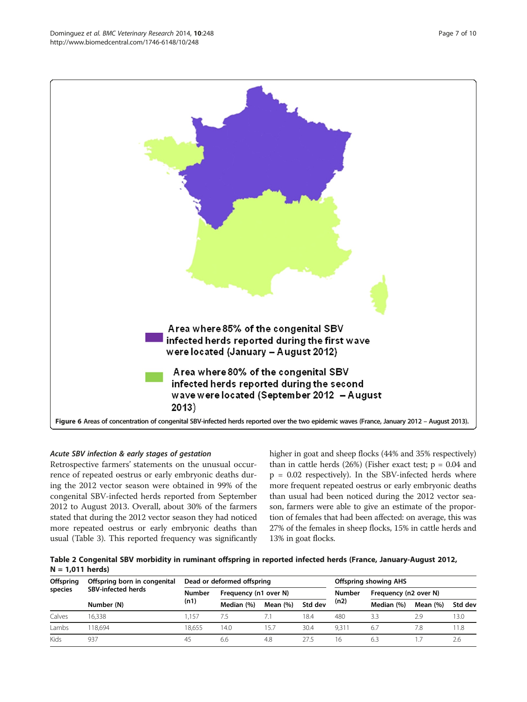<span id="page-6-0"></span>

# Acute SBV infection & early stages of gestation

Retrospective farmers' statements on the unusual occurrence of repeated oestrus or early embryonic deaths during the 2012 vector season were obtained in 99% of the congenital SBV-infected herds reported from September 2012 to August 2013. Overall, about 30% of the farmers stated that during the 2012 vector season they had noticed more repeated oestrus or early embryonic deaths than usual (Table [3](#page-7-0)). This reported frequency was significantly

higher in goat and sheep flocks (44% and 35% respectively) than in cattle herds  $(26%)$  (Fisher exact test;  $p = 0.04$  and p = 0.02 respectively). In the SBV-infected herds where more frequent repeated oestrus or early embryonic deaths than usual had been noticed during the 2012 vector season, farmers were able to give an estimate of the proportion of females that had been affected: on average, this was 27% of the females in sheep flocks, 15% in cattle herds and 13% in goat flocks.

Table 2 Congenital SBV morbidity in ruminant offspring in reported infected herds (France, January-August 2012, N = 1,011 herds)

| Offspring | Offspring born in congenital<br><b>SBV-infected herds</b><br>Number (N) | Dead or deformed offspring |                       |             | <b>Offspring showing AHS</b> |               |                       |            |         |
|-----------|-------------------------------------------------------------------------|----------------------------|-----------------------|-------------|------------------------------|---------------|-----------------------|------------|---------|
| species   |                                                                         | <b>Number</b><br>(n1)      | Frequency (n1 over N) |             |                              | <b>Number</b> | Frequency (n2 over N) |            |         |
|           |                                                                         |                            | Median (%)            | Mean $(% )$ | Std dev                      | (n2)          | Median (%)            | Mean $(%)$ | Std dev |
| Calves    | 16.338                                                                  | .157                       |                       |             | 18.4                         | 480           | 3.3                   | 2.9        | 13.0    |
| Lambs     | 118.694                                                                 | 18.655                     | 14.0                  | 15.7        | 30.4                         | 9.311         | 6.7                   | 7.8        | 1.8     |
| Kids      | 937                                                                     | 45                         | 6.6                   | 4.8         | 275                          | 16            | 63                    |            | 2.6     |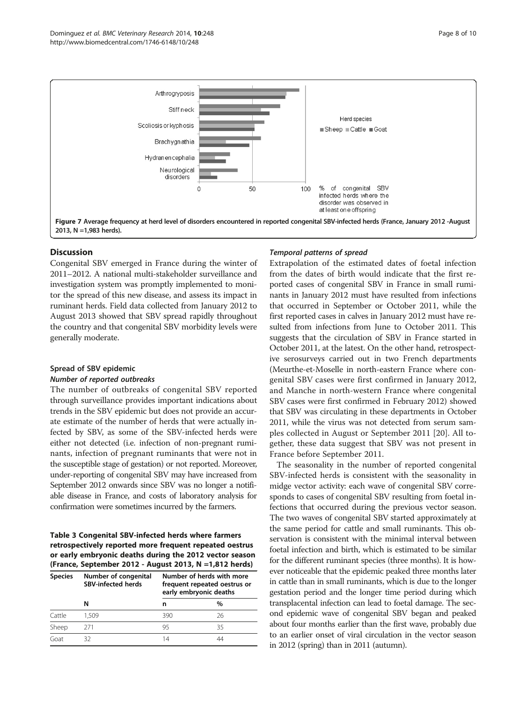<span id="page-7-0"></span>

# **Discussion**

Congenital SBV emerged in France during the winter of 2011–2012. A national multi-stakeholder surveillance and investigation system was promptly implemented to monitor the spread of this new disease, and assess its impact in ruminant herds. Field data collected from January 2012 to August 2013 showed that SBV spread rapidly throughout the country and that congenital SBV morbidity levels were generally moderate.

# Spread of SBV epidemic

# Number of reported outbreaks

The number of outbreaks of congenital SBV reported through surveillance provides important indications about trends in the SBV epidemic but does not provide an accurate estimate of the number of herds that were actually infected by SBV, as some of the SBV-infected herds were either not detected (i.e. infection of non-pregnant ruminants, infection of pregnant ruminants that were not in the susceptible stage of gestation) or not reported. Moreover, under-reporting of congenital SBV may have increased from September 2012 onwards since SBV was no longer a notifiable disease in France, and costs of laboratory analysis for confirmation were sometimes incurred by the farmers.

### Table 3 Congenital SBV-infected herds where farmers retrospectively reported more frequent repeated oestrus or early embryonic deaths during the 2012 vector season (France, September 2012 - August 2013, N =1,812 herds)

| <b>Species</b> | Number of congenital<br><b>SBV-infected herds</b> | Number of herds with more<br>frequent repeated oestrus or<br>early embryonic deaths |    |  |
|----------------|---------------------------------------------------|-------------------------------------------------------------------------------------|----|--|
|                | N                                                 | n                                                                                   | %  |  |
| Cattle         | 1.509                                             | 390                                                                                 | 26 |  |
| Sheep          | 271                                               | 95                                                                                  | 35 |  |
| Goat           | 32                                                | 14                                                                                  |    |  |

#### Temporal patterns of spread

Extrapolation of the estimated dates of foetal infection from the dates of birth would indicate that the first reported cases of congenital SBV in France in small ruminants in January 2012 must have resulted from infections that occurred in September or October 2011, while the first reported cases in calves in January 2012 must have resulted from infections from June to October 2011. This suggests that the circulation of SBV in France started in October 2011, at the latest. On the other hand, retrospective serosurveys carried out in two French departments (Meurthe-et-Moselle in north-eastern France where congenital SBV cases were first confirmed in January 2012, and Manche in north-western France where congenital SBV cases were first confirmed in February 2012) showed that SBV was circulating in these departments in October 2011, while the virus was not detected from serum samples collected in August or September 2011 [[20\]](#page-9-0). All together, these data suggest that SBV was not present in France before September 2011.

The seasonality in the number of reported congenital SBV-infected herds is consistent with the seasonality in midge vector activity: each wave of congenital SBV corresponds to cases of congenital SBV resulting from foetal infections that occurred during the previous vector season. The two waves of congenital SBV started approximately at the same period for cattle and small ruminants. This observation is consistent with the minimal interval between foetal infection and birth, which is estimated to be similar for the different ruminant species (three months). It is however noticeable that the epidemic peaked three months later in cattle than in small ruminants, which is due to the longer gestation period and the longer time period during which transplacental infection can lead to foetal damage. The second epidemic wave of congenital SBV began and peaked about four months earlier than the first wave, probably due to an earlier onset of viral circulation in the vector season in 2012 (spring) than in 2011 (autumn).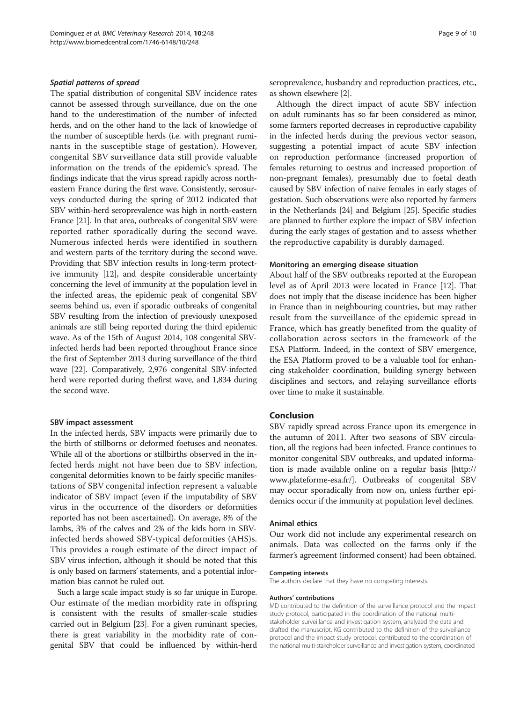#### Spatial patterns of spread

The spatial distribution of congenital SBV incidence rates cannot be assessed through surveillance, due on the one hand to the underestimation of the number of infected herds, and on the other hand to the lack of knowledge of the number of susceptible herds (i.e. with pregnant ruminants in the susceptible stage of gestation). However, congenital SBV surveillance data still provide valuable information on the trends of the epidemic's spread. The findings indicate that the virus spread rapidly across northeastern France during the first wave. Consistently, serosurveys conducted during the spring of 2012 indicated that SBV within-herd seroprevalence was high in north-eastern France [\[21](#page-9-0)]. In that area, outbreaks of congenital SBV were reported rather sporadically during the second wave. Numerous infected herds were identified in southern and western parts of the territory during the second wave. Providing that SBV infection results in long-term protective immunity [\[12\]](#page-9-0), and despite considerable uncertainty concerning the level of immunity at the population level in the infected areas, the epidemic peak of congenital SBV seems behind us, even if sporadic outbreaks of congenital SBV resulting from the infection of previously unexposed animals are still being reported during the third epidemic wave. As of the 15th of August 2014, 108 congenital SBVinfected herds had been reported throughout France since the first of September 2013 during surveillance of the third wave [\[22](#page-9-0)]. Comparatively, 2,976 congenital SBV-infected herd were reported during thefirst wave, and 1,834 during the second wave.

#### SBV impact assessment

In the infected herds, SBV impacts were primarily due to the birth of stillborns or deformed foetuses and neonates. While all of the abortions or stillbirths observed in the infected herds might not have been due to SBV infection, congenital deformities known to be fairly specific manifestations of SBV congenital infection represent a valuable indicator of SBV impact (even if the imputability of SBV virus in the occurrence of the disorders or deformities reported has not been ascertained). On average, 8% of the lambs, 3% of the calves and 2% of the kids born in SBVinfected herds showed SBV-typical deformities (AHS)s. This provides a rough estimate of the direct impact of SBV virus infection, although it should be noted that this is only based on farmers' statements, and a potential information bias cannot be ruled out.

Such a large scale impact study is so far unique in Europe. Our estimate of the median morbidity rate in offspring is consistent with the results of smaller-scale studies carried out in Belgium [[23](#page-9-0)]. For a given ruminant species, there is great variability in the morbidity rate of congenital SBV that could be influenced by within-herd seroprevalence, husbandry and reproduction practices, etc., as shown elsewhere [[2\]](#page-9-0).

Although the direct impact of acute SBV infection on adult ruminants has so far been considered as minor, some farmers reported decreases in reproductive capability in the infected herds during the previous vector season, suggesting a potential impact of acute SBV infection on reproduction performance (increased proportion of females returning to oestrus and increased proportion of non-pregnant females), presumably due to foetal death caused by SBV infection of naive females in early stages of gestation. Such observations were also reported by farmers in the Netherlands [\[24](#page-9-0)] and Belgium [\[25\]](#page-9-0). Specific studies are planned to further explore the impact of SBV infection during the early stages of gestation and to assess whether the reproductive capability is durably damaged.

#### Monitoring an emerging disease situation

About half of the SBV outbreaks reported at the European level as of April 2013 were located in France [[12](#page-9-0)]. That does not imply that the disease incidence has been higher in France than in neighbouring countries, but may rather result from the surveillance of the epidemic spread in France, which has greatly benefited from the quality of collaboration across sectors in the framework of the ESA Platform. Indeed, in the context of SBV emergence, the ESA Platform proved to be a valuable tool for enhancing stakeholder coordination, building synergy between disciplines and sectors, and relaying surveillance efforts over time to make it sustainable.

#### Conclusion

SBV rapidly spread across France upon its emergence in the autumn of 2011. After two seasons of SBV circulation, all the regions had been infected. France continues to monitor congenital SBV outbreaks, and updated information is made available online on a regular basis [\[http://](http://www.plateforme-esa.fr/) [www.plateforme-esa.fr/\]](http://www.plateforme-esa.fr/). Outbreaks of congenital SBV may occur sporadically from now on, unless further epidemics occur if the immunity at population level declines.

#### Animal ethics

Our work did not include any experimental research on animals. Data was collected on the farms only if the farmer's agreement (informed consent) had been obtained.

#### Competing interests

The authors declare that they have no competing interests.

#### Authors' contributions

MD contributed to the definition of the surveillance protocol and the impact study protocol, participated in the coordination of the national multistakeholder surveillance and investigation system, analyzed the data and drafted the manuscript. KG contributed to the definition of the surveillance protocol and the impact study protocol, contributed to the coordination of the national multi-stakeholder surveillance and investigation system, coordinated